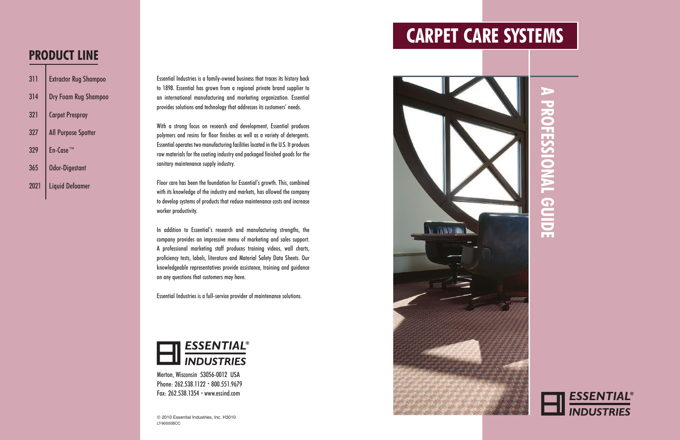**A P R O F E S S I O N A L G U I D E**



## **CARPET CARE SYSTEMS**





Essential Industries is a family-owned business that traces its history back to 1898. Essential has grown from a regional private brand supplier to an international manufacturing and marketing organization. Essential provides solutions and technology that addresses its customers' needs.

With a strong focus on research and development, Essential produces polymers and resins for floor finishes as well as a variety of detergents. Essential operates two manufacturing facilities located in the U.S. It produces raw materials for the coating industry and packaged finished goods for the sanitary maintenance supply industry.

Floor care has been the foundation for Essential's growth. This, combined with its knowledge of the industry and markets, has allowed the company to develop systems of products that reduce maintenance costs and increase worker productivity.

In addition to Essential's research and manufacturing strengths, the company provides an impressive menu of marketing and sales support. A professional marketing staff produces training videos, wall charts, proficiency tests, labels, literature and Material Safety Data Sheets. Our knowledgeable representatives provide assistance, training and guidance on any questions that customers may have.

Essential Industries is a full-service provider of maintenance solutions.



| 311  | <b>Extractor Rug Shampoo</b> |
|------|------------------------------|
| 314  | Dry Foam Rug Shampoo         |
| 321  | <b>Carpet Prespray</b>       |
| 327  | <b>All Purpose Spotter</b>   |
| 329  | $En-CaseT$                   |
| 365  | <b>Odor-Digestant</b>        |
| 2021 | <b>Liquid Defoamer</b>       |

### **PRODUCT LINE**

Merton, Wisconsin 53056-0012 USA Phone: 262.538.1122 • 800.551.9679 Fax: 262.538.1354 • www.essind.com

© 2010 Essential Industries, Inc. H3010 LT-90000BCC